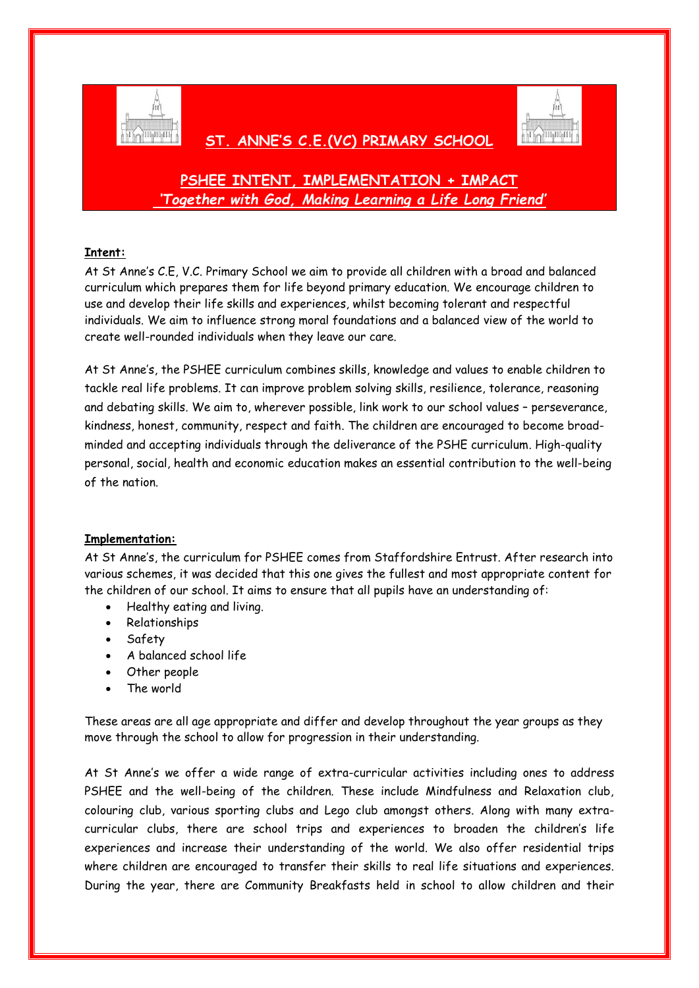

## **ST. ANNE'S C.E.(VC) PRIMARY SCHOOL**



# **PSHEE INTENT, IMPLEMENTATION + IMPACT** *'Together with God, Making Learning a Life Long Friend'*

## **Intent:**

At St Anne's C.E, V.C. Primary School we aim to provide all children with a broad and balanced curriculum which prepares them for life beyond primary education. We encourage children to use and develop their life skills and experiences, whilst becoming tolerant and respectful individuals. We aim to influence strong moral foundations and a balanced view of the world to create well-rounded individuals when they leave our care.

At St Anne's, the PSHEE curriculum combines skills, knowledge and values to enable children to tackle real life problems. It can improve problem solving skills, resilience, tolerance, reasoning and debating skills. We aim to, wherever possible, link work to our school values – perseverance, kindness, honest, community, respect and faith. The children are encouraged to become broadminded and accepting individuals through the deliverance of the PSHE curriculum. High-quality personal, social, health and economic education makes an essential contribution to the well-being of the nation.

### **Implementation:**

At St Anne's, the curriculum for PSHEE comes from Staffordshire Entrust. After research into various schemes, it was decided that this one gives the fullest and most appropriate content for the children of our school. It aims to ensure that all pupils have an understanding of:

- Healthy eating and living.
- Relationships
- Safety
- A balanced school life
- Other people
- The world

These areas are all age appropriate and differ and develop throughout the year groups as they move through the school to allow for progression in their understanding.

At St Anne's we offer a wide range of extra-curricular activities including ones to address PSHEE and the well-being of the children. These include Mindfulness and Relaxation club, colouring club, various sporting clubs and Lego club amongst others. Along with many extracurricular clubs, there are school trips and experiences to broaden the children's life experiences and increase their understanding of the world. We also offer residential trips where children are encouraged to transfer their skills to real life situations and experiences. During the year, there are Community Breakfasts held in school to allow children and their